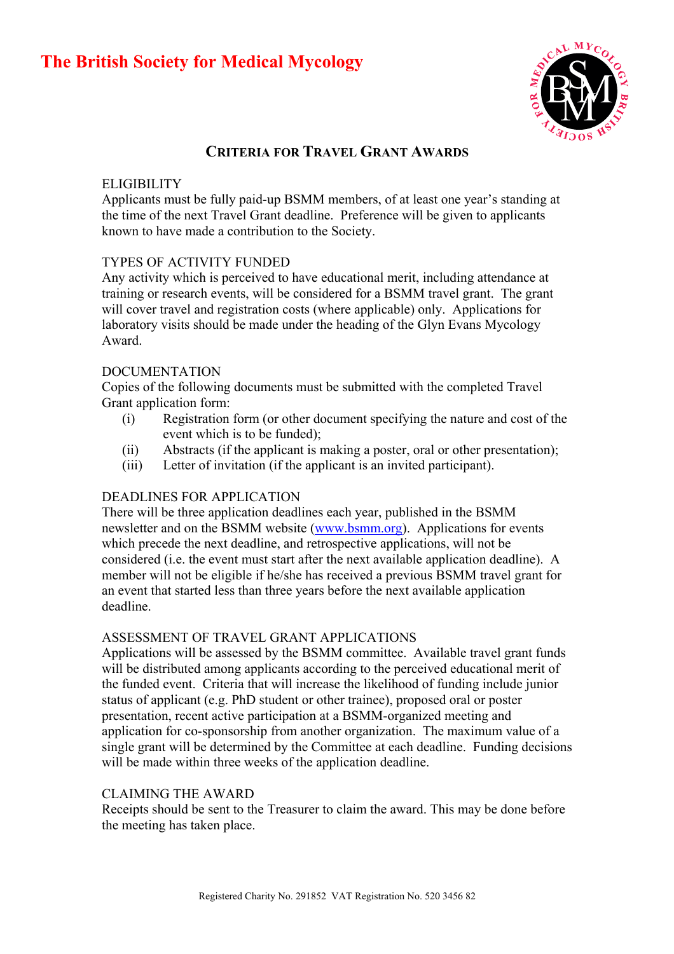# **The British Society for Medical Mycology**



# **CRITERIA FOR TRAVEL GRANT AWARDS**

#### **ELIGIBILITY**

Applicants must be fully paid-up BSMM members, of at least one year's standing at the time of the next Travel Grant deadline. Preference will be given to applicants known to have made a contribution to the Society.

## TYPES OF ACTIVITY FUNDED

Any activity which is perceived to have educational merit, including attendance at training or research events, will be considered for a BSMM travel grant. The grant will cover travel and registration costs (where applicable) only. Applications for laboratory visits should be made under the heading of the Glyn Evans Mycology Award.

## DOCUMENTATION

Copies of the following documents must be submitted with the completed Travel Grant application form:

- (i) Registration form (or other document specifying the nature and cost of the event which is to be funded);
- (ii) Abstracts (if the applicant is making a poster, oral or other presentation);
- (iii) Letter of invitation (if the applicant is an invited participant).

## DEADLINES FOR APPLICATION

There will be three application deadlines each year, published in the BSMM newsletter and on the BSMM website ([www.bsmm.org](http://www.bsmm.org/)). Applications for events which precede the next deadline, and retrospective applications, will not be considered (i.e. the event must start after the next available application deadline). A member will not be eligible if he/she has received a previous BSMM travel grant for an event that started less than three years before the next available application deadline.

#### ASSESSMENT OF TRAVEL GRANT APPLICATIONS

Applications will be assessed by the BSMM committee. Available travel grant funds will be distributed among applicants according to the perceived educational merit of the funded event. Criteria that will increase the likelihood of funding include junior status of applicant (e.g. PhD student or other trainee), proposed oral or poster presentation, recent active participation at a BSMM-organized meeting and application for co-sponsorship from another organization. The maximum value of a single grant will be determined by the Committee at each deadline. Funding decisions will be made within three weeks of the application deadline.

#### CLAIMING THE AWARD

Receipts should be sent to the Treasurer to claim the award. This may be done before the meeting has taken place.